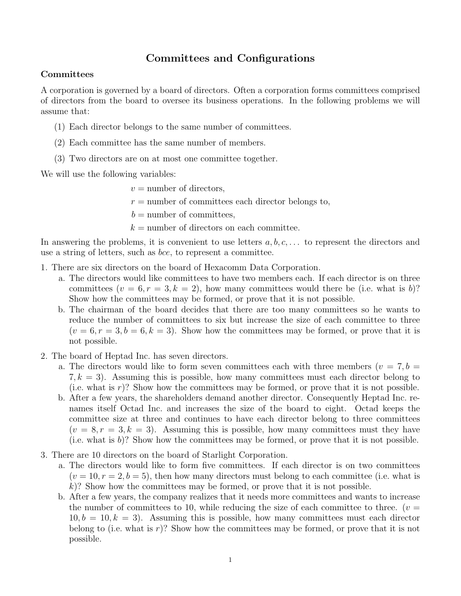## Committees and Configurations

## **Committees**

A corporation is governed by a board of directors. Often a corporation forms committees comprised of directors from the board to oversee its business operations. In the following problems we will assume that:

- (1) Each director belongs to the same number of committees.
- (2) Each committee has the same number of members.
- (3) Two directors are on at most one committee together.

We will use the following variables:

 $v =$  number of directors,

 $r =$  number of committees each director belongs to,

 $b =$  number of committees,

 $k =$  number of directors on each committee.

In answering the problems, it is convenient to use letters  $a, b, c, \ldots$  to represent the directors and use a string of letters, such as bce, to represent a committee.

- 1. There are six directors on the board of Hexacomm Data Corporation.
	- a. The directors would like committees to have two members each. If each director is on three committees  $(v = 6, r = 3, k = 2)$ , how many committees would there be (i.e. what is b)? Show how the committees may be formed, or prove that it is not possible.
	- b. The chairman of the board decides that there are too many committees so he wants to reduce the number of committees to six but increase the size of each committee to three  $(v = 6, r = 3, b = 6, k = 3)$ . Show how the committees may be formed, or prove that it is not possible.
- 2. The board of Heptad Inc. has seven directors.
	- a. The directors would like to form seven committees each with three members ( $v = 7, b = 1$ )  $7, k = 3$ ). Assuming this is possible, how many committees must each director belong to (i.e. what is  $r$ )? Show how the committees may be formed, or prove that it is not possible.
	- b. After a few years, the shareholders demand another director. Consequently Heptad Inc. renames itself Octad Inc. and increases the size of the board to eight. Octad keeps the committee size at three and continues to have each director belong to three committees  $(v = 8, r = 3, k = 3)$ . Assuming this is possible, how many committees must they have (i.e. what is  $b$ )? Show how the committees may be formed, or prove that it is not possible.
- 3. There are 10 directors on the board of Starlight Corporation.
	- a. The directors would like to form five committees. If each director is on two committees  $(v = 10, r = 2, b = 5)$ , then how many directors must belong to each committee (i.e. what is  $k$ ? Show how the committees may be formed, or prove that it is not possible.
	- b. After a few years, the company realizes that it needs more committees and wants to increase the number of committees to 10, while reducing the size of each committee to three. ( $v =$  $10, b = 10, k = 3$ . Assuming this is possible, how many committees must each director belong to (i.e. what is r)? Show how the committees may be formed, or prove that it is not possible.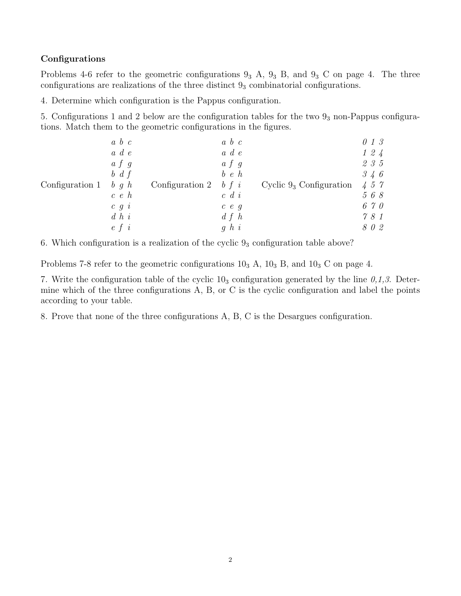## Configurations

Problems 4-6 refer to the geometric configurations  $9_3$  A,  $9_3$  B, and  $9_3$  C on page 4. The three configurations are realizations of the three distinct  $9<sub>3</sub>$  combinatorial configurations.

4. Determine which configuration is the Pappus configuration.

5. Configurations 1 and 2 below are the configuration tables for the two  $9<sub>3</sub>$  non-Pappus configurations. Match them to the geometric configurations in the figures.

| Configuration 1 | $a\,b\,c$     | Configuration 2 | $a\,b\,c$     | Cyclic $9_3$ Configuration | 013       |
|-----------------|---------------|-----------------|---------------|----------------------------|-----------|
|                 | $a \ d \ e$   |                 | $a \ d \ e$   |                            | $1\,2\,4$ |
|                 | $a \, f \, g$ |                 | $a \, f \, g$ |                            | 235       |
|                 | $b \, d \, f$ |                 | $b \, e \, h$ |                            | 346       |
|                 | $b \, g \, h$ |                 | $b \, f \, i$ |                            | 457       |
|                 | c e h         |                 | $c \ d \ i$   |                            | 568       |
|                 | $c \, g \, i$ |                 | c e g         |                            | 670       |
|                 | $d\;h\;i$     |                 | d f h         |                            | 781       |
|                 | $e\, f\, i$   |                 | q h i         |                            | 802       |

6. Which configuration is a realization of the cyclic  $9<sub>3</sub>$  configuration table above?

Problems 7-8 refer to the geometric configurations  $10<sub>3</sub>$  A,  $10<sub>3</sub>$  B, and  $10<sub>3</sub>$  C on page 4.

7. Write the configuration table of the cyclic  $10<sub>3</sub>$  configuration generated by the line  $0,1,3$ . Determine which of the three configurations A, B, or C is the cyclic configuration and label the points according to your table.

8. Prove that none of the three configurations A, B, C is the Desargues configuration.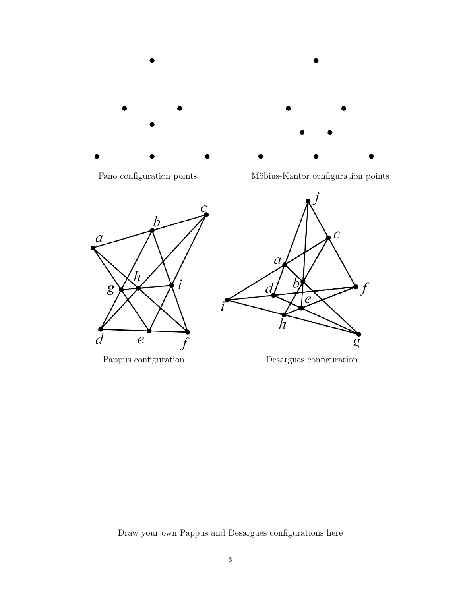

Fano configuration points Möbius-Kantor configuration points



Pappus configuration Desargues configuration

Draw your own Pappus and Desargues configurations here